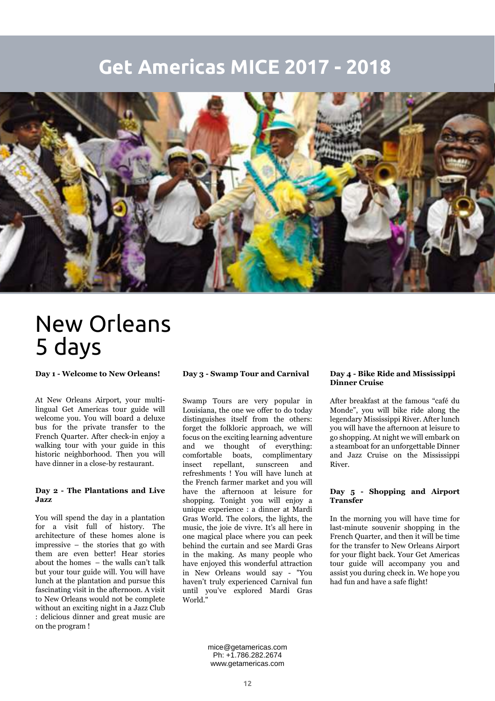### **Get Americas MICE 2017 - 2018**



# New Orleans 5 days

**Day 1 - Welcome to New Orleans!**

At New Orleans Airport, your multilingual Get Americas tour guide will welcome you. You will board a deluxe bus for the private transfer to the French Quarter. After check-in enjoy a walking tour with your guide in this historic neighborhood. Then you will have dinner in a close-by restaurant.

#### **Day 2 - The Plantations and Live Jazz**

You will spend the day in a plantation for a visit full of history. The architecture of these homes alone is impressive – the stories that go with them are even better! Hear stories about the homes – the walls can't talk but your tour guide will. You will have lunch at the plantation and pursue this fascinating visit in the afternoon. A visit to New Orleans would not be complete without an exciting night in a Jazz Club : delicious dinner and great music are on the program !

#### **Day 3 - Swamp Tour and Carnival**

Swamp Tours are very popular in Louisiana, the one we offer to do today distinguishes itself from the others: forget the folkloric approach, we will focus on the exciting learning adventure and we thought of everything: comfortable boats, complimentary insect repellant, sunscreen and refreshments ! You will have lunch at the French farmer market and you will have the afternoon at leisure for shopping. Tonight you will enjoy a unique experience : a dinner at Mardi Gras World. The colors, the lights, the music, the joie de vivre. It's all here in one magical place where you can peek behind the curtain and see Mardi Gras in the making. As many people who have enjoyed this wonderful attraction in New Orleans would say - "You haven't truly experienced Carnival fun until you've explored Mardi Gras World."

#### **Day 4 - Bike Ride and Mississippi Dinner Cruise**

After breakfast at the famous "café du Monde", you will bike ride along the legendary Mississippi River. After lunch you will have the afternoon at leisure to go shopping. At night we will embark on a steamboat for an unforgettable Dinner and Jazz Cruise on the Mississippi River.

#### **Day 5 - Shopping and Airport Transfer**

In the morning you will have time for last-minute souvenir shopping in the French Quarter, and then it will be time for the transfer to New Orleans Airport for your flight back. Your Get Americas tour guide will accompany you and assist you during check in. We hope you had fun and have a safe flight!

mice@getamericas.com Ph: +1.786.282.2674 www.getamericas.com